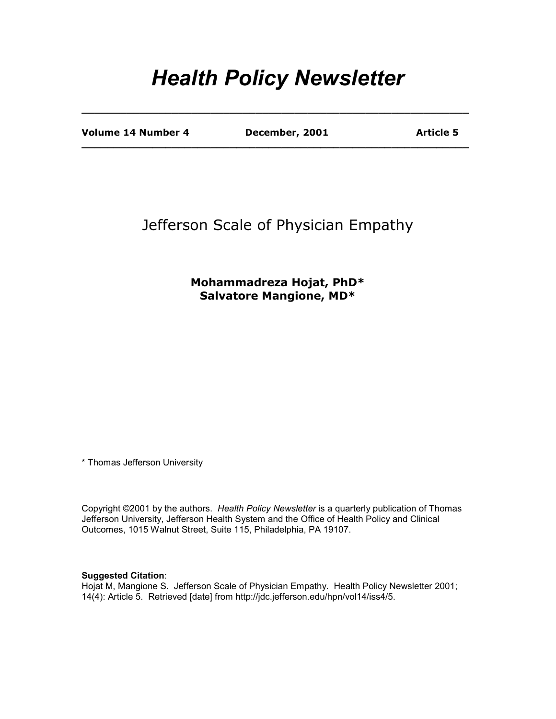# *Health Policy Newsletter*

**\_\_\_\_\_\_\_\_\_\_\_\_\_\_\_\_\_\_\_\_\_\_\_\_\_\_\_\_\_\_\_\_\_\_\_\_\_\_\_\_\_\_\_\_\_\_\_\_\_\_\_\_\_\_\_\_\_\_\_\_** 

**\_\_\_\_\_\_\_\_\_\_\_\_\_\_\_\_\_\_\_\_\_\_\_\_\_\_\_\_\_\_\_\_\_\_\_\_\_\_\_\_\_\_\_\_\_\_\_\_\_\_\_\_\_\_\_\_\_\_\_\_** 

Volume 14 Number 4 **December, 2001** Article 5

### Jefferson Scale of Physician Empathy

### **Mohammadreza Hojat, PhD\* Salvatore Mangione, MD\***

\* Thomas Jefferson University

Copyright ©2001 by the authors. *Health Policy Newsletter* is a quarterly publication of Thomas Jefferson University, Jefferson Health System and the Office of Health Policy and Clinical Outcomes, 1015 Walnut Street, Suite 115, Philadelphia, PA 19107.

#### **Suggested Citation**:

Hojat M, Mangione S. Jefferson Scale of Physician Empathy. Health Policy Newsletter 2001; 14(4): Article 5. Retrieved [date] from http://jdc.jefferson.edu/hpn/vol14/iss4/5.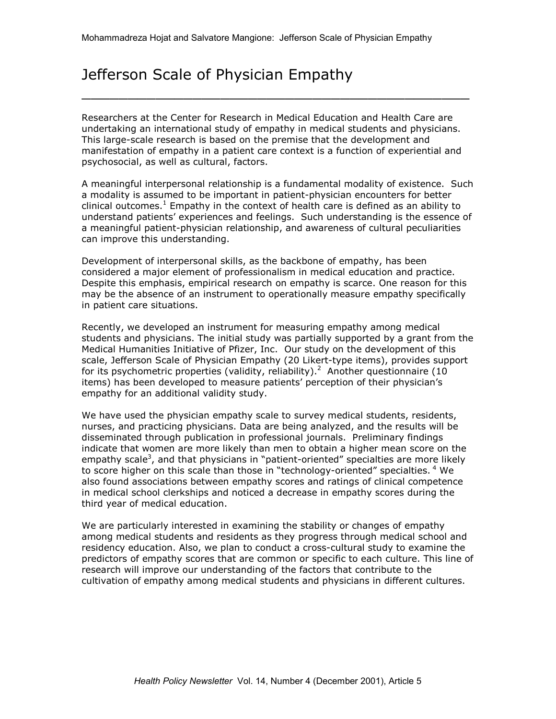## Jefferson Scale of Physician Empathy

Researchers at the Center for Research in Medical Education and Health Care are undertaking an international study of empathy in medical students and physicians. This large-scale research is based on the premise that the development and manifestation of empathy in a patient care context is a function of experiential and psychosocial, as well as cultural, factors.

 $\overline{\phantom{a}}$  , and the contract of the contract of the contract of the contract of the contract of the contract of the contract of the contract of the contract of the contract of the contract of the contract of the contrac

A meaningful interpersonal relationship is a fundamental modality of existence. Such a modality is assumed to be important in patient-physician encounters for better clinical outcomes.<sup>1</sup> Empathy in the context of health care is defined as an ability to understand patients' experiences and feelings. Such understanding is the essence of a meaningful patient-physician relationship, and awareness of cultural peculiarities can improve this understanding.

Development of interpersonal skills, as the backbone of empathy, has been considered a major element of professionalism in medical education and practice. Despite this emphasis, empirical research on empathy is scarce. One reason for this may be the absence of an instrument to operationally measure empathy specifically in patient care situations.

Recently, we developed an instrument for measuring empathy among medical students and physicians. The initial study was partially supported by a grant from the Medical Humanities Initiative of Pfizer, Inc. Our study on the development of this scale, Jefferson Scale of Physician Empathy (20 Likert-type items), provides support for its psychometric properties (validity, reliability).<sup>2</sup> Another questionnaire (10 items) has been developed to measure patients' perception of their physician's empathy for an additional validity study.

We have used the physician empathy scale to survey medical students, residents, nurses, and practicing physicians. Data are being analyzed, and the results will be disseminated through publication in professional journals. Preliminary findings indicate that women are more likely than men to obtain a higher mean score on the empathy scale<sup>3</sup>, and that physicians in "patient-oriented" specialties are more likely to score higher on this scale than those in "technology-oriented" specialties. <sup>4</sup> We also found associations between empathy scores and ratings of clinical competence in medical school clerkships and noticed a decrease in empathy scores during the third year of medical education.

We are particularly interested in examining the stability or changes of empathy among medical students and residents as they progress through medical school and residency education. Also, we plan to conduct a cross-cultural study to examine the predictors of empathy scores that are common or specific to each culture. This line of research will improve our understanding of the factors that contribute to the cultivation of empathy among medical students and physicians in different cultures.